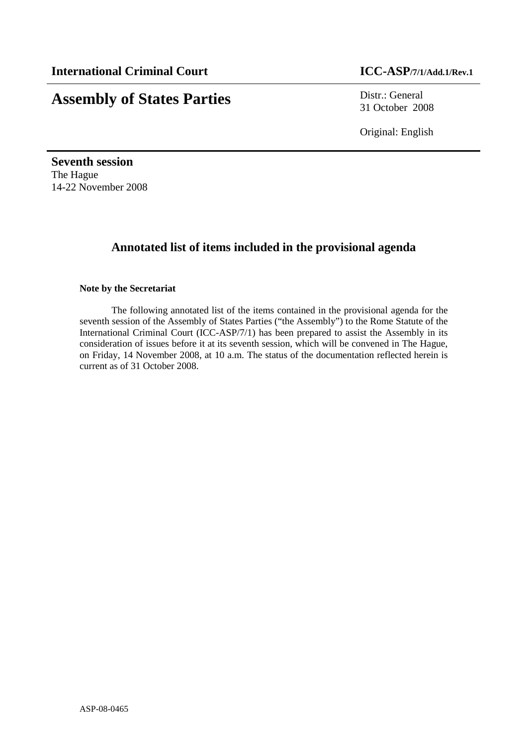# **Assembly of States Parties** Distr.: General

31 October 2008

Original: English

**Seventh session**  The Hague 14-22 November 2008

## **Annotated list of items included in the provisional agenda**

#### **Note by the Secretariat**

The following annotated list of the items contained in the provisional agenda for the seventh session of the Assembly of States Parties ("the Assembly") to the Rome Statute of the International Criminal Court (ICC-ASP/7/1) has been prepared to assist the Assembly in its consideration of issues before it at its seventh session, which will be convened in The Hague, on Friday, 14 November 2008, at 10 a.m. The status of the documentation reflected herein is current as of 31 October 2008.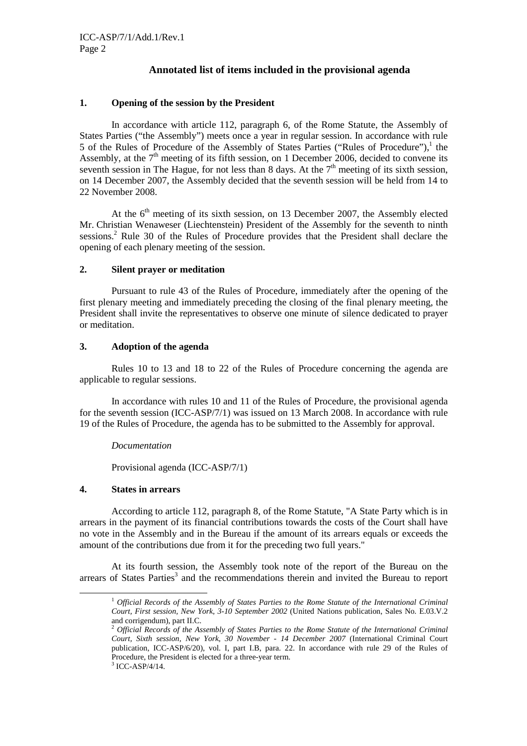### **Annotated list of items included in the provisional agenda**

#### **1. Opening of the session by the President**

In accordance with article 112, paragraph 6, of the Rome Statute, the Assembly of States Parties ("the Assembly") meets once a year in regular session. In accordance with rule 5 of the Rules of Procedure of the Assembly of States Parties ("Rules of Procedure"), $<sup>1</sup>$  the</sup> Assembly, at the  $7<sup>th</sup>$  meeting of its fifth session, on 1 December 2006, decided to convene its seventh session in The Hague, for not less than 8 days. At the  $7<sup>th</sup>$  meeting of its sixth session, on 14 December 2007, the Assembly decided that the seventh session will be held from 14 to 22 November 2008.

At the  $6<sup>th</sup>$  meeting of its sixth session, on 13 December 2007, the Assembly elected Mr. Christian Wenaweser (Liechtenstein) President of the Assembly for the seventh to ninth sessions.<sup>2</sup> Rule 30 of the Rules of Procedure provides that the President shall declare the opening of each plenary meeting of the session.

#### **2. Silent prayer or meditation**

Pursuant to rule 43 of the Rules of Procedure, immediately after the opening of the first plenary meeting and immediately preceding the closing of the final plenary meeting, the President shall invite the representatives to observe one minute of silence dedicated to prayer or meditation.

#### **3. Adoption of the agenda**

Rules 10 to 13 and 18 to 22 of the Rules of Procedure concerning the agenda are applicable to regular sessions.

In accordance with rules 10 and 11 of the Rules of Procedure, the provisional agenda for the seventh session (ICC-ASP/7/1) was issued on 13 March 2008. In accordance with rule 19 of the Rules of Procedure, the agenda has to be submitted to the Assembly for approval.

#### *Documentation*

Provisional agenda (ICC-ASP/7/1)

#### **4. States in arrears**

 $\overline{a}$ 

According to article 112, paragraph 8, of the Rome Statute, "A State Party which is in arrears in the payment of its financial contributions towards the costs of the Court shall have no vote in the Assembly and in the Bureau if the amount of its arrears equals or exceeds the amount of the contributions due from it for the preceding two full years."

At its fourth session, the Assembly took note of the report of the Bureau on the arrears of States Parties<sup>3</sup> and the recommendations therein and invited the Bureau to report

<sup>1</sup> *Official Records of the Assembly of States Parties to the Rome Statute of the International Criminal Court, First session, New York, 3-10 September 2002* (United Nations publication, Sales No. E.03.V.2 and corrigendum), part II.C.

<sup>2</sup> *Official Records of the Assembly of States Parties to the Rome Statute of the International Criminal Court, Sixth session, New York, 30 November - 14 December 2007* (International Criminal Court publication, ICC-ASP/6/20), vol. I, part I.B, para. 22. In accordance with rule 29 of the Rules of Procedure, the President is elected for a three-year term.

 $3$  ICC-ASP/4/14.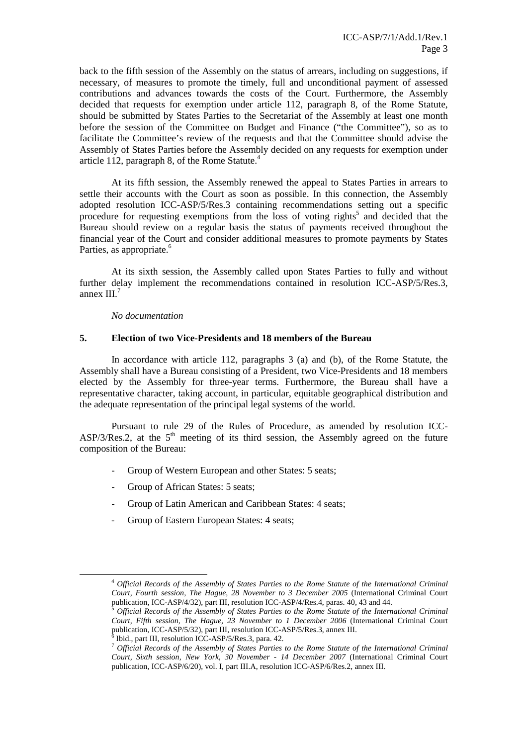back to the fifth session of the Assembly on the status of arrears, including on suggestions, if necessary, of measures to promote the timely, full and unconditional payment of assessed contributions and advances towards the costs of the Court. Furthermore, the Assembly decided that requests for exemption under article 112, paragraph 8, of the Rome Statute, should be submitted by States Parties to the Secretariat of the Assembly at least one month before the session of the Committee on Budget and Finance ("the Committee"), so as to facilitate the Committee's review of the requests and that the Committee should advise the Assembly of States Parties before the Assembly decided on any requests for exemption under article 112, paragraph 8, of the Rome Statute.<sup>4</sup>

At its fifth session, the Assembly renewed the appeal to States Parties in arrears to settle their accounts with the Court as soon as possible. In this connection, the Assembly adopted resolution ICC-ASP/5/Res.3 containing recommendations setting out a specific procedure for requesting exemptions from the loss of voting rights<sup>5</sup> and decided that the Bureau should review on a regular basis the status of payments received throughout the financial year of the Court and consider additional measures to promote payments by States Parties, as appropriate.<sup>6</sup>

At its sixth session, the Assembly called upon States Parties to fully and without further delay implement the recommendations contained in resolution ICC-ASP/5/Res.3, annex  $III.^7$ 

*No documentation* 

 $\overline{a}$ 

#### **5. Election of two Vice-Presidents and 18 members of the Bureau**

 In accordance with article 112, paragraphs 3 (a) and (b), of the Rome Statute, the Assembly shall have a Bureau consisting of a President, two Vice-Presidents and 18 members elected by the Assembly for three-year terms. Furthermore, the Bureau shall have a representative character, taking account, in particular, equitable geographical distribution and the adequate representation of the principal legal systems of the world.

 Pursuant to rule 29 of the Rules of Procedure, as amended by resolution ICC- $\text{ASP}/3/\text{Res}.2$ , at the  $5^{\text{th}}$  meeting of its third session, the Assembly agreed on the future composition of the Bureau:

- Group of Western European and other States: 5 seats;
- Group of African States: 5 seats;
- Group of Latin American and Caribbean States: 4 seats;
- Group of Eastern European States: 4 seats;

<sup>4</sup> *Official Records of the Assembly of States Parties to the Rome Statute of the International Criminal Court, Fourth session, The Hague, 28 November to 3 December 2005* (International Criminal Court publication, ICC-ASP/4/32), part III, resolution ICC-ASP/4/Res.4, paras. 40, 43 and 44.

<sup>5</sup> *Official Records of the Assembly of States Parties to the Rome Statute of the International Criminal Court, Fifth session, The Hague, 23 November to 1 December 2006* (International Criminal Court publication, ICC-ASP/5/32), part III, resolution ICC-ASP/5/Res.3, annex III. 6

Ibid., part III, resolution ICC-ASP/5/Res.3, para. 42.

<sup>7</sup> *Official Records of the Assembly of States Parties to the Rome Statute of the International Criminal Court, Sixth session, New York, 30 November - 14 December 2007* (International Criminal Court publication, ICC-ASP/6/20), vol. I, part III.A, resolution ICC-ASP/6/Res.2, annex III.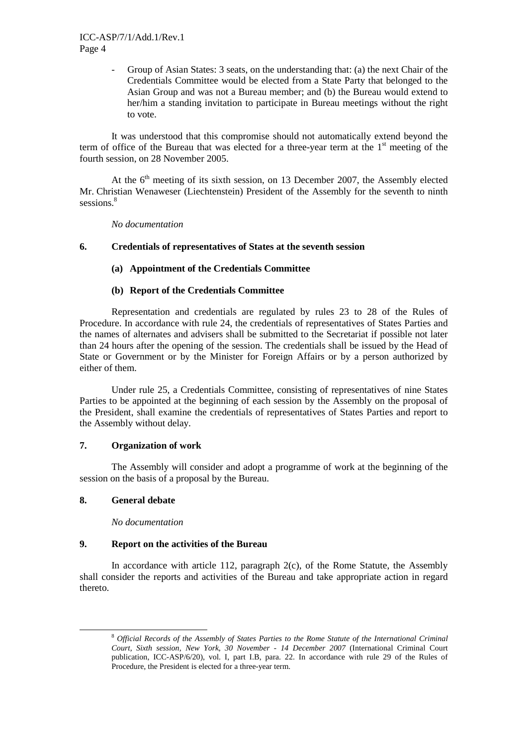- Group of Asian States: 3 seats, on the understanding that: (a) the next Chair of the Credentials Committee would be elected from a State Party that belonged to the Asian Group and was not a Bureau member; and (b) the Bureau would extend to her/him a standing invitation to participate in Bureau meetings without the right to vote.

 It was understood that this compromise should not automatically extend beyond the term of office of the Bureau that was elected for a three-year term at the  $1<sup>st</sup>$  meeting of the fourth session, on 28 November 2005.

At the  $6<sup>th</sup>$  meeting of its sixth session, on 13 December 2007, the Assembly elected Mr. Christian Wenaweser (Liechtenstein) President of the Assembly for the seventh to ninth sessions.<sup>8</sup>

*No documentation*

#### **6. Credentials of representatives of States at the seventh session**

#### **(a) Appointment of the Credentials Committee**

#### **(b) Report of the Credentials Committee**

Representation and credentials are regulated by rules 23 to 28 of the Rules of Procedure. In accordance with rule 24, the credentials of representatives of States Parties and the names of alternates and advisers shall be submitted to the Secretariat if possible not later than 24 hours after the opening of the session. The credentials shall be issued by the Head of State or Government or by the Minister for Foreign Affairs or by a person authorized by either of them.

Under rule 25, a Credentials Committee, consisting of representatives of nine States Parties to be appointed at the beginning of each session by the Assembly on the proposal of the President, shall examine the credentials of representatives of States Parties and report to the Assembly without delay.

#### **7. Organization of work**

The Assembly will consider and adopt a programme of work at the beginning of the session on the basis of a proposal by the Bureau.

#### **8. General debate**

 $\overline{a}$ 

*No documentation* 

#### **9. Report on the activities of the Bureau**

In accordance with article 112, paragraph  $2(c)$ , of the Rome Statute, the Assembly shall consider the reports and activities of the Bureau and take appropriate action in regard thereto.

<sup>8</sup> *Official Records of the Assembly of States Parties to the Rome Statute of the International Criminal Court, Sixth session, New York, 30 November - 14 December 2007* (International Criminal Court publication, ICC-ASP/6/20), vol. I, part I.B, para. 22. In accordance with rule 29 of the Rules of Procedure, the President is elected for a three-year term.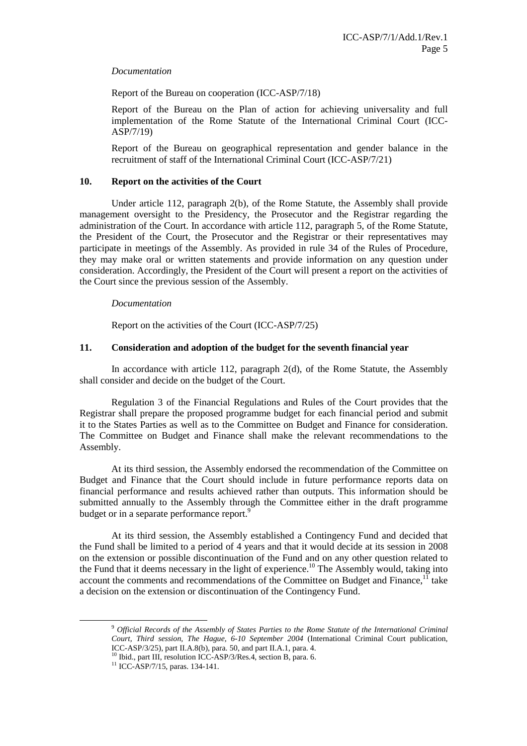#### *Documentation*

Report of the Bureau on cooperation (ICC-ASP/7/18)

Report of the Bureau on the Plan of action for achieving universality and full implementation of the Rome Statute of the International Criminal Court (ICC-ASP/7/19)

Report of the Bureau on geographical representation and gender balance in the recruitment of staff of the International Criminal Court (ICC-ASP/7/21)

#### **10. Report on the activities of the Court**

Under article 112, paragraph 2(b), of the Rome Statute, the Assembly shall provide management oversight to the Presidency, the Prosecutor and the Registrar regarding the administration of the Court. In accordance with article 112, paragraph 5, of the Rome Statute, the President of the Court, the Prosecutor and the Registrar or their representatives may participate in meetings of the Assembly. As provided in rule 34 of the Rules of Procedure, they may make oral or written statements and provide information on any question under consideration. Accordingly, the President of the Court will present a report on the activities of the Court since the previous session of the Assembly.

#### *Documentation*

Report on the activities of the Court (ICC-ASP/7/25)

#### **11. Consideration and adoption of the budget for the seventh financial year**

In accordance with article 112, paragraph 2(d), of the Rome Statute, the Assembly shall consider and decide on the budget of the Court.

Regulation 3 of the Financial Regulations and Rules of the Court provides that the Registrar shall prepare the proposed programme budget for each financial period and submit it to the States Parties as well as to the Committee on Budget and Finance for consideration. The Committee on Budget and Finance shall make the relevant recommendations to the Assembly.

At its third session, the Assembly endorsed the recommendation of the Committee on Budget and Finance that the Court should include in future performance reports data on financial performance and results achieved rather than outputs. This information should be submitted annually to the Assembly through the Committee either in the draft programme budget or in a separate performance report.<sup>9</sup>

At its third session, the Assembly established a Contingency Fund and decided that the Fund shall be limited to a period of 4 years and that it would decide at its session in 2008 on the extension or possible discontinuation of the Fund and on any other question related to the Fund that it deems necessary in the light of experience.<sup>10</sup> The Assembly would, taking into account the comments and recommendations of the Committee on Budget and Finance, $<sup>11</sup>$  take</sup> a decision on the extension or discontinuation of the Contingency Fund.

 $\overline{a}$ 

<sup>9</sup> *Official Records of the Assembly of States Parties to the Rome Statute of the International Criminal Court, Third session, The Hague, 6-10 September 2004* (International Criminal Court publication, ICC-ASP/3/25), part II.A.8(b), para. 50, and part II.A.1, para. 4.

<sup>&</sup>lt;sup>10</sup> Ibid., part III, resolution ICC-ASP/3/Res.4, section B, para. 6.

 $11$  ICC-ASP/7/15, paras. 134-141.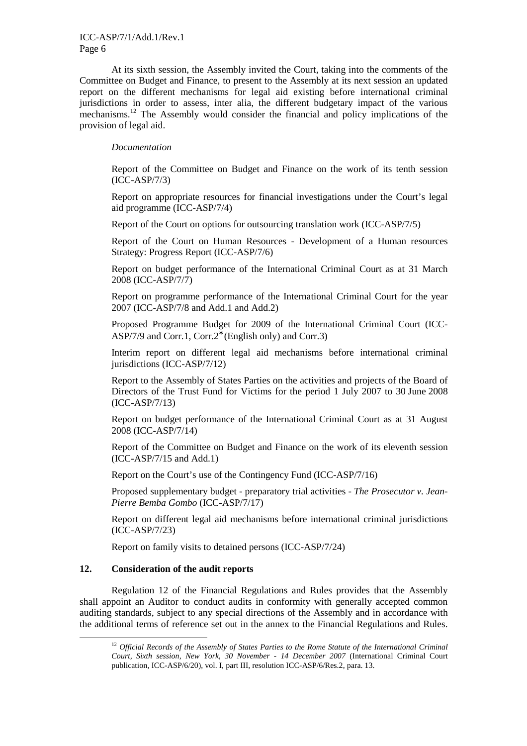#### ICC-ASP/7/1/Add.1/Rev.1 Page 6

At its sixth session, the Assembly invited the Court, taking into the comments of the Committee on Budget and Finance, to present to the Assembly at its next session an updated report on the different mechanisms for legal aid existing before international criminal jurisdictions in order to assess, inter alia, the different budgetary impact of the various mechanisms.<sup>12</sup> The Assembly would consider the financial and policy implications of the provision of legal aid.

#### *Documentation*

Report of the Committee on Budget and Finance on the work of its tenth session (ICC-ASP/7/3)

Report on appropriate resources for financial investigations under the Court's legal aid programme (ICC-ASP/7/4)

Report of the Court on options for outsourcing translation work (ICC-ASP/7/5)

Report of the Court on Human Resources - Development of a Human resources Strategy: Progress Report (ICC-ASP/7/6)

Report on budget performance of the International Criminal Court as at 31 March 2008 (ICC-ASP/7/7)

Report on programme performance of the International Criminal Court for the year 2007 (ICC-ASP/7/8 and Add.1 and Add.2)

Proposed Programme Budget for 2009 of the International Criminal Court (ICC-ASP/7/9 and Corr.1, Corr.2<sup>∗</sup> (English only) and Corr.3)

Interim report on different legal aid mechanisms before international criminal jurisdictions (ICC-ASP/7/12)

Report to the Assembly of States Parties on the activities and projects of the Board of Directors of the Trust Fund for Victims for the period 1 July 2007 to 30 June 2008 (ICC-ASP/7/13)

Report on budget performance of the International Criminal Court as at 31 August 2008 (ICC-ASP/7/14)

Report of the Committee on Budget and Finance on the work of its eleventh session (ICC-ASP/7/15 and Add.1)

Report on the Court's use of the Contingency Fund (ICC-ASP/7/16)

Proposed supplementary budget - preparatory trial activities - *The Prosecutor v. Jean-Pierre Bemba Gombo* (ICC-ASP/7/17)

Report on different legal aid mechanisms before international criminal jurisdictions (ICC-ASP/7/23)

Report on family visits to detained persons (ICC-ASP/7/24)

#### **12. Consideration of the audit reports**

 $\overline{a}$ 

Regulation 12 of the Financial Regulations and Rules provides that the Assembly shall appoint an Auditor to conduct audits in conformity with generally accepted common auditing standards, subject to any special directions of the Assembly and in accordance with the additional terms of reference set out in the annex to the Financial Regulations and Rules.

<sup>&</sup>lt;sup>12</sup> *Official Records of the Assembly of States Parties to the Rome Statute of the International Criminal Court, Sixth session, New York, 30 November - 14 December 2007* (International Criminal Court publication, ICC-ASP/6/20), vol. I, part III, resolution ICC-ASP/6/Res.2, para. 13.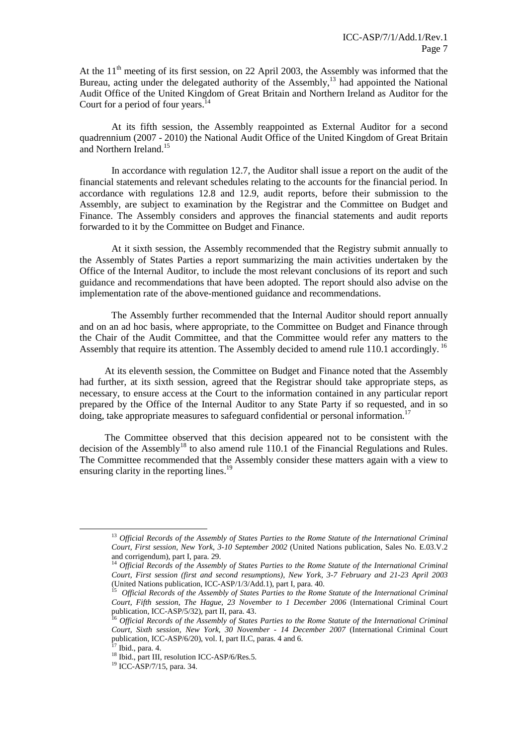At the  $11<sup>th</sup>$  meeting of its first session, on 22 April 2003, the Assembly was informed that the Bureau, acting under the delegated authority of the Assembly,<sup>13</sup> had appointed the National Audit Office of the United Kingdom of Great Britain and Northern Ireland as Auditor for the Court for a period of four years. $14$ 

 At its fifth session, the Assembly reappointed as External Auditor for a second quadrennium (2007 - 2010) the National Audit Office of the United Kingdom of Great Britain and Northern Ireland.<sup>15</sup>

In accordance with regulation 12.7, the Auditor shall issue a report on the audit of the financial statements and relevant schedules relating to the accounts for the financial period. In accordance with regulations 12.8 and 12.9, audit reports, before their submission to the Assembly, are subject to examination by the Registrar and the Committee on Budget and Finance. The Assembly considers and approves the financial statements and audit reports forwarded to it by the Committee on Budget and Finance.

 At it sixth session, the Assembly recommended that the Registry submit annually to the Assembly of States Parties a report summarizing the main activities undertaken by the Office of the Internal Auditor, to include the most relevant conclusions of its report and such guidance and recommendations that have been adopted. The report should also advise on the implementation rate of the above-mentioned guidance and recommendations.

The Assembly further recommended that the Internal Auditor should report annually and on an ad hoc basis, where appropriate, to the Committee on Budget and Finance through the Chair of the Audit Committee, and that the Committee would refer any matters to the Assembly that require its attention. The Assembly decided to amend rule 110.1 accordingly.<sup>16</sup>

At its eleventh session, the Committee on Budget and Finance noted that the Assembly had further, at its sixth session, agreed that the Registrar should take appropriate steps, as necessary, to ensure access at the Court to the information contained in any particular report prepared by the Office of the Internal Auditor to any State Party if so requested, and in so doing, take appropriate measures to safeguard confidential or personal information.<sup>17</sup>

The Committee observed that this decision appeared not to be consistent with the decision of the Assembly<sup>18</sup> to also amend rule 110.1 of the Financial Regulations and Rules. The Committee recommended that the Assembly consider these matters again with a view to ensuring clarity in the reporting lines.<sup>19</sup>

 $\overline{a}$ 

<sup>13</sup> *Official Records of the Assembly of States Parties to the Rome Statute of the International Criminal Court, First session, New York, 3-10 September 2002* (United Nations publication, Sales No. E.03.V.2 and corrigendum), part I, para. 29.

<sup>&</sup>lt;sup>14</sup> Official Records of the Assembly of States Parties to the Rome Statute of the International Criminal *Court, First session (first and second resumptions), New York, 3-7 February and 21-23 April 2003*  (United Nations publication, ICC-ASP/1/3/Add.1), part I, para. 40.<br><sup>15</sup> Official Becords of the Assembly of States Barties to the Bome

*Official Records of the Assembly of States Parties to the Rome Statute of the International Criminal Court, Fifth session, The Hague, 23 November to 1 December 2006* (International Criminal Court publication, ICC-ASP/5/32), part II, para. 43.

<sup>16</sup> *Official Records of the Assembly of States Parties to the Rome Statute of the International Criminal Court, Sixth session, New York, 30 November - 14 December 2007* (International Criminal Court publication, ICC-ASP/6/20), vol. I, part II.C, paras. 4 and 6.

Ibid., para. 4.

 $18$  Ibid., part III, resolution ICC-ASP/6/Res.5.

<sup>19</sup> ICC-ASP/7/15, para. 34.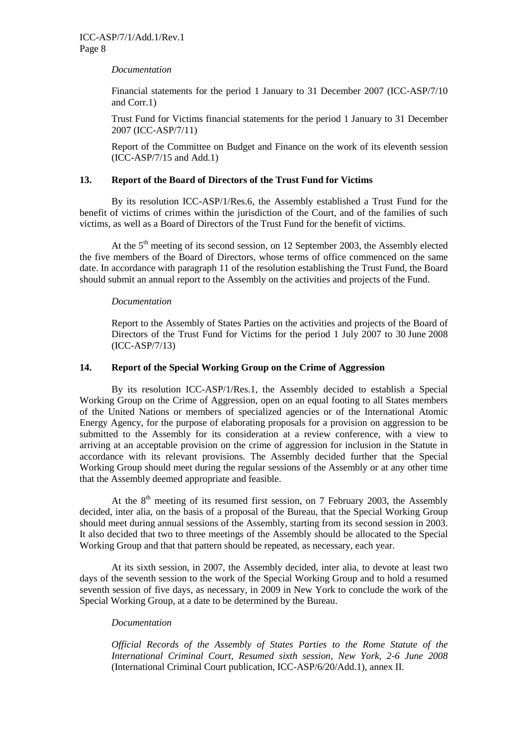#### *Documentation*

Financial statements for the period 1 January to 31 December 2007 (ICC-ASP/7/10 and Corr.1)

Trust Fund for Victims financial statements for the period 1 January to 31 December 2007 (ICC-ASP/7/11)

Report of the Committee on Budget and Finance on the work of its eleventh session (ICC-ASP/7/15 and Add.1)

#### **13. Report of the Board of Directors of the Trust Fund for Victims**

By its resolution ICC-ASP/1/Res.6, the Assembly established a Trust Fund for the benefit of victims of crimes within the jurisdiction of the Court, and of the families of such victims, as well as a Board of Directors of the Trust Fund for the benefit of victims.

At the  $5<sup>th</sup>$  meeting of its second session, on 12 September 2003, the Assembly elected the five members of the Board of Directors, whose terms of office commenced on the same date. In accordance with paragraph 11 of the resolution establishing the Trust Fund, the Board should submit an annual report to the Assembly on the activities and projects of the Fund.

#### *Documentation*

Report to the Assembly of States Parties on the activities and projects of the Board of Directors of the Trust Fund for Victims for the period 1 July 2007 to 30 June 2008 (ICC-ASP/7/13)

#### **14. Report of the Special Working Group on the Crime of Aggression**

By its resolution ICC-ASP/1/Res.1, the Assembly decided to establish a Special Working Group on the Crime of Aggression, open on an equal footing to all States members of the United Nations or members of specialized agencies or of the International Atomic Energy Agency, for the purpose of elaborating proposals for a provision on aggression to be submitted to the Assembly for its consideration at a review conference, with a view to arriving at an acceptable provision on the crime of aggression for inclusion in the Statute in accordance with its relevant provisions. The Assembly decided further that the Special Working Group should meet during the regular sessions of the Assembly or at any other time that the Assembly deemed appropriate and feasible.

At the  $8<sup>th</sup>$  meeting of its resumed first session, on 7 February 2003, the Assembly decided, inter alia, on the basis of a proposal of the Bureau, that the Special Working Group should meet during annual sessions of the Assembly, starting from its second session in 2003. It also decided that two to three meetings of the Assembly should be allocated to the Special Working Group and that that pattern should be repeated, as necessary, each year.

At its sixth session, in 2007, the Assembly decided, inter alia, to devote at least two days of the seventh session to the work of the Special Working Group and to hold a resumed seventh session of five days, as necessary, in 2009 in New York to conclude the work of the Special Working Group, at a date to be determined by the Bureau.

#### *Documentation*

*Official Records of the Assembly of States Parties to the Rome Statute of the International Criminal Court, Resumed sixth session, New York, 2-6 June 2008* (International Criminal Court publication, ICC-ASP/6/20/Add.1), annex II.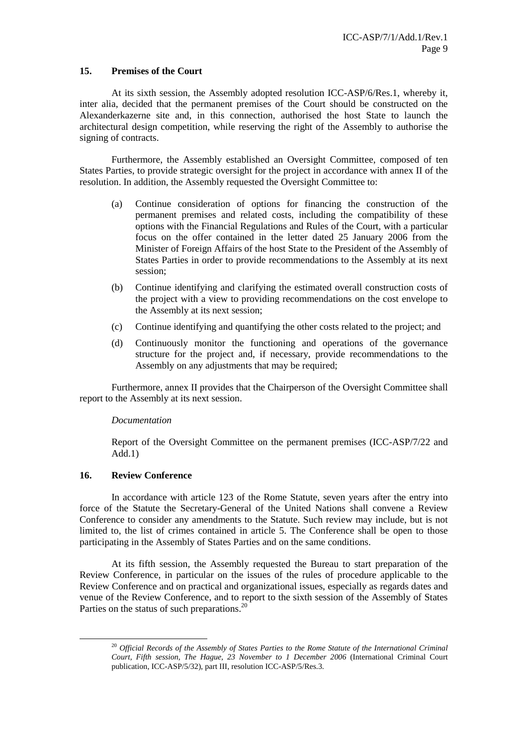#### **15. Premises of the Court**

At its sixth session, the Assembly adopted resolution ICC-ASP/6/Res.1, whereby it, inter alia, decided that the permanent premises of the Court should be constructed on the Alexanderkazerne site and, in this connection, authorised the host State to launch the architectural design competition, while reserving the right of the Assembly to authorise the signing of contracts.

Furthermore, the Assembly established an Oversight Committee, composed of ten States Parties, to provide strategic oversight for the project in accordance with annex II of the resolution. In addition, the Assembly requested the Oversight Committee to:

- (a) Continue consideration of options for financing the construction of the permanent premises and related costs, including the compatibility of these options with the Financial Regulations and Rules of the Court, with a particular focus on the offer contained in the letter dated 25 January 2006 from the Minister of Foreign Affairs of the host State to the President of the Assembly of States Parties in order to provide recommendations to the Assembly at its next session;
- (b) Continue identifying and clarifying the estimated overall construction costs of the project with a view to providing recommendations on the cost envelope to the Assembly at its next session;
- (c) Continue identifying and quantifying the other costs related to the project; and
- (d) Continuously monitor the functioning and operations of the governance structure for the project and, if necessary, provide recommendations to the Assembly on any adjustments that may be required;

Furthermore, annex II provides that the Chairperson of the Oversight Committee shall report to the Assembly at its next session.

#### *Documentation*

Report of the Oversight Committee on the permanent premises (ICC-ASP/7/22 and  $Add.1)$ 

#### **16. Review Conference**

 $\overline{a}$ 

In accordance with article 123 of the Rome Statute, seven years after the entry into force of the Statute the Secretary-General of the United Nations shall convene a Review Conference to consider any amendments to the Statute. Such review may include, but is not limited to, the list of crimes contained in article 5. The Conference shall be open to those participating in the Assembly of States Parties and on the same conditions.

At its fifth session, the Assembly requested the Bureau to start preparation of the Review Conference, in particular on the issues of the rules of procedure applicable to the Review Conference and on practical and organizational issues, especially as regards dates and venue of the Review Conference, and to report to the sixth session of the Assembly of States Parties on the status of such preparations.<sup>20</sup>

<sup>20</sup> *Official Records of the Assembly of States Parties to the Rome Statute of the International Criminal Court, Fifth session, The Hague, 23 November to 1 December 2006* (International Criminal Court publication, ICC-ASP/5/32), part III, resolution ICC-ASP/5/Res.3.